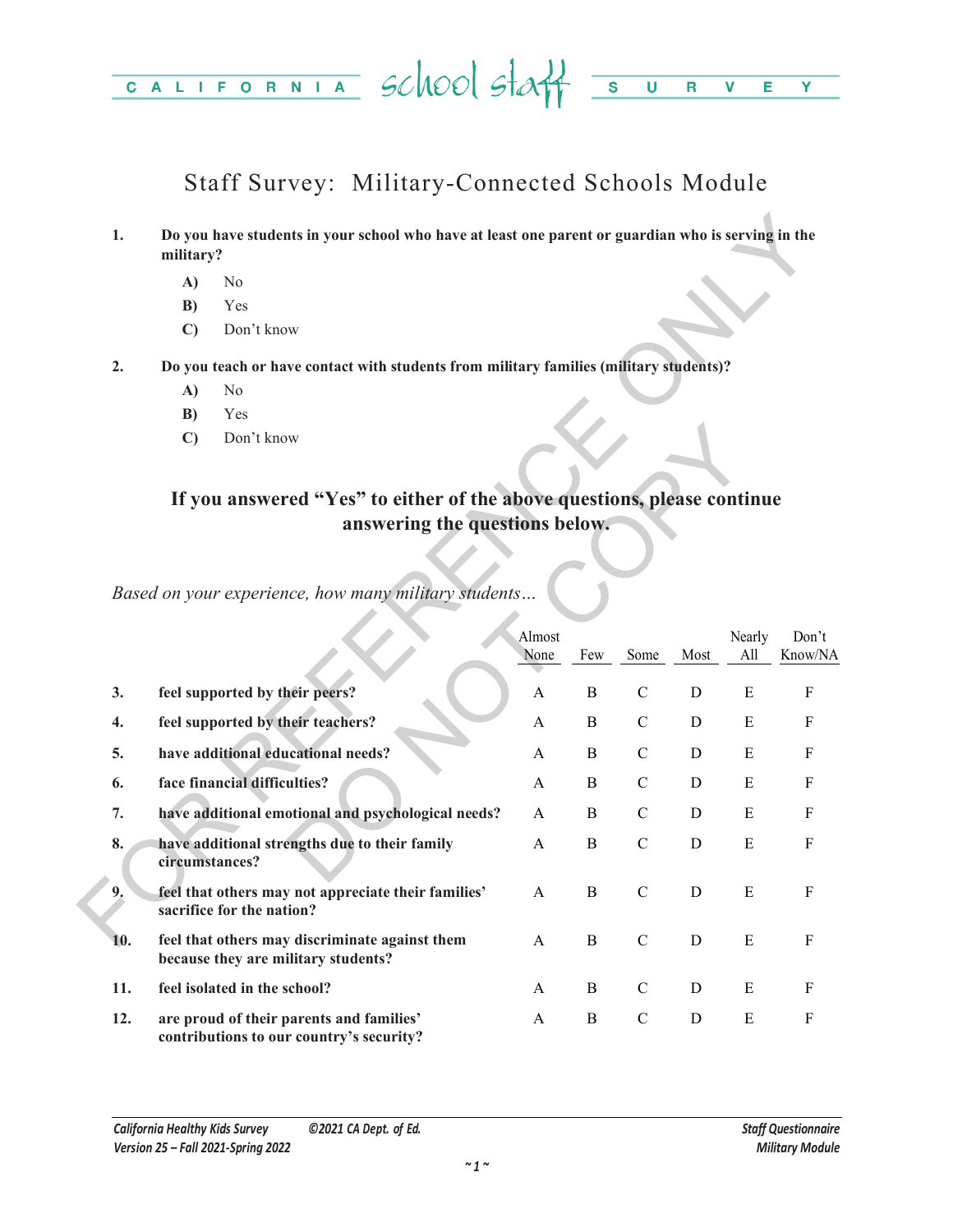#### CALIFORNIA School staff =  $\overline{\mathsf{U}}$  $\overline{\mathsf{R}}$  $\overline{\mathbf{v}}$  $\overline{E}$ Ÿ

# Staff Survey: Military-Connected Schools Module

- **1. Do you have students in your school who have at least one parent or guardian who is serving in the military?**
	- **A)** No
	- **B)** Yes
	- **C)** Don't know
- **2. Do you teach or have contact with students from military families (military students)?**
	- **A)** No
	- **B)** Yes
	- **C)** Don't know

## **If you answered "Yes" to either of the above questions, please continue answering the questions below.**

| 1.  | Do you have students in your school who have at least one parent or guardian who is serving in the<br>military? |                                                                                        |                |              |               |             |               |                  |  |  |
|-----|-----------------------------------------------------------------------------------------------------------------|----------------------------------------------------------------------------------------|----------------|--------------|---------------|-------------|---------------|------------------|--|--|
|     | A)                                                                                                              | N <sub>o</sub>                                                                         |                |              |               |             |               |                  |  |  |
|     | B)                                                                                                              | Yes                                                                                    |                |              |               |             |               |                  |  |  |
|     | $\mathbf{C}$                                                                                                    | Don't know                                                                             |                |              |               |             |               |                  |  |  |
| 2.  |                                                                                                                 | Do you teach or have contact with students from military families (military students)? |                |              |               |             |               |                  |  |  |
|     | A)                                                                                                              | No                                                                                     |                |              |               |             |               |                  |  |  |
|     | B)                                                                                                              | Yes                                                                                    |                |              |               |             |               |                  |  |  |
|     | $\mathbf{C}$                                                                                                    | Don't know                                                                             |                |              |               |             |               |                  |  |  |
|     |                                                                                                                 | If you answered "Yes" to either of the above questions, please continue                |                |              |               |             |               |                  |  |  |
|     |                                                                                                                 | answering the questions below.                                                         |                |              |               |             |               |                  |  |  |
|     |                                                                                                                 |                                                                                        |                |              |               |             |               |                  |  |  |
|     |                                                                                                                 | Based on your experience, how many military students                                   |                |              |               |             |               |                  |  |  |
|     |                                                                                                                 |                                                                                        | Almost<br>None | Few          | Some          | Most        | Nearly<br>All | Don't<br>Know/NA |  |  |
| 3.  |                                                                                                                 | feel supported by their peers?                                                         | A              | $\bf{B}$     | $\mathbf C$   | D           | E             | $_{\rm F}$       |  |  |
| 4.  |                                                                                                                 | feel supported by their teachers?                                                      | A              | B            | $\mathcal{C}$ | D           | ${\bf E}$     | F                |  |  |
| 5.  | have additional educational needs?                                                                              | A                                                                                      | $\bf{B}$       | $\mathbf C$  | $\mathbf D$   | E           | $_{\rm F}$    |                  |  |  |
| 6.  | face financial difficulties?                                                                                    |                                                                                        |                | B            | $\mathcal{C}$ | D           | Ε             | F                |  |  |
| 7.  | have additional emotional and psychological needs?                                                              | A                                                                                      | B              | $\mathbf C$  | D             | E           | $_{\rm F}$    |                  |  |  |
| 8.  | have additional strengths due to their family<br>circumstances?                                                 |                                                                                        | $\mathbf{A}$   | $\bf{B}$     | $\mathbf C$   | $\mathbf D$ | E             | $\mathbf{F}$     |  |  |
| 9.  |                                                                                                                 | feel that others may not appreciate their families'<br>sacrifice for the nation?       | A              | B            | $\mathbf C$   | D           | E             | $\mathbf{F}$     |  |  |
| 10. |                                                                                                                 | feel that others may discriminate against them<br>because they are military students?  | $\mathbf{A}$   | $\mathbf B$  | $\mathbf C$   | $\mathbf D$ | E             | ${\bf F}$        |  |  |
| 11. |                                                                                                                 | feel isolated in the school?                                                           | A              | B            | $\mathcal{C}$ | D           | E             | F                |  |  |
| 12. |                                                                                                                 | are proud of their parents and families'<br>contributions to our country's security?   | A              | $\, {\bf B}$ | $\mathbf C$   | ${\rm D}$   | E             | $\mathbf F$      |  |  |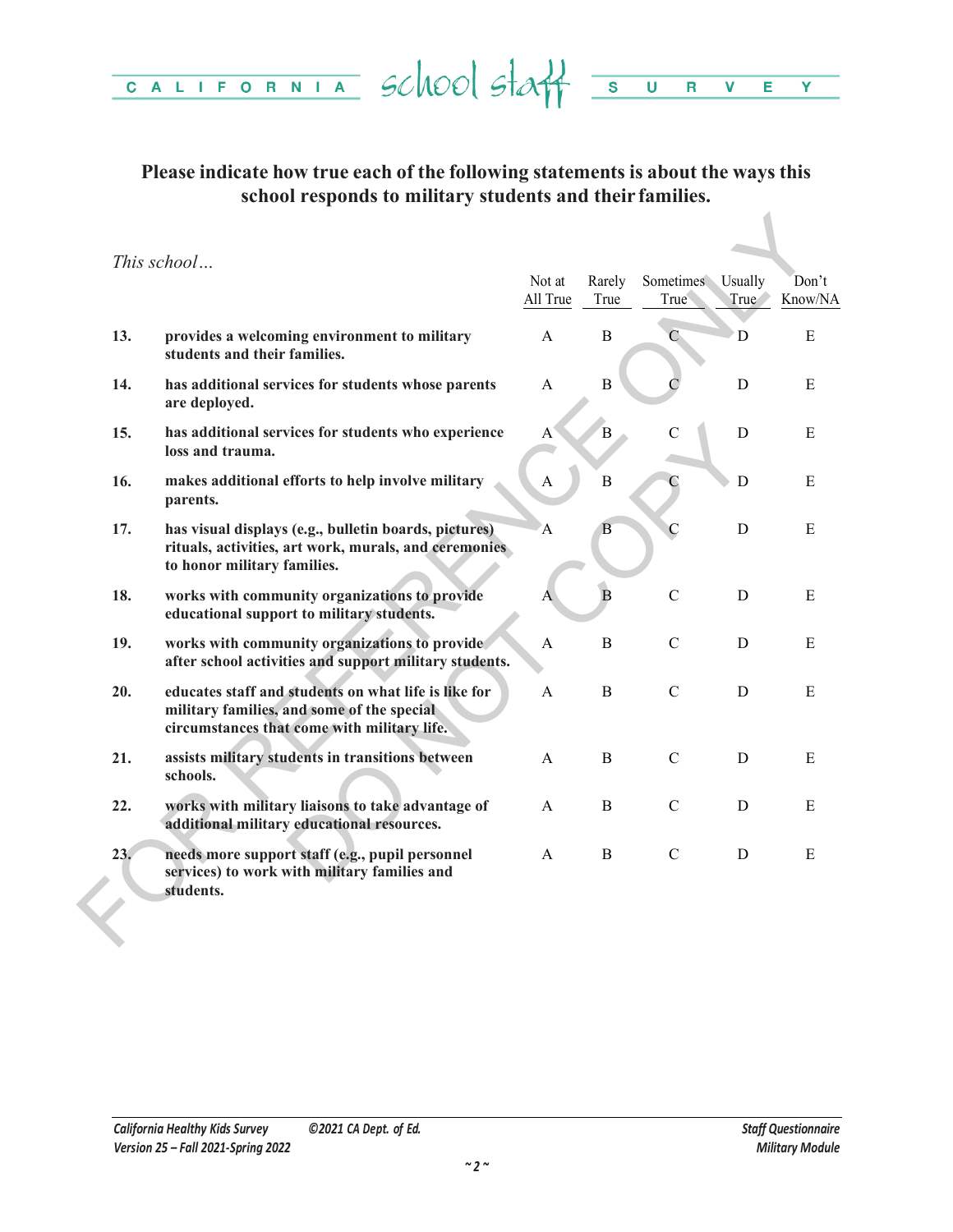#### **Please indicate how true each of the following statements is about the ways this school responds to military students and their families.**

|     |                                                                                                                                                   | Not at<br>All True | Rarely<br>True | Sometimes<br>True           | Usually<br>True | Don't<br>Know/NA |
|-----|---------------------------------------------------------------------------------------------------------------------------------------------------|--------------------|----------------|-----------------------------|-----------------|------------------|
| 13. | provides a welcoming environment to military<br>students and their families.                                                                      | A                  | B              | $\mathbf{C}_{\mathbb{Z}_2}$ | D               | E                |
| 14. | has additional services for students whose parents<br>are deployed.                                                                               | A                  | $\bf{B}$       |                             | D               | E                |
| 15. | has additional services for students who experience<br>loss and trauma.                                                                           | A                  | B              | $\mathcal{C}$               | D               | E                |
| 16. | makes additional efforts to help involve military<br>parents.                                                                                     | A                  | $\mathbf B$    | C                           | D               | E                |
| 17. | has visual displays (e.g., bulletin boards, pictures)<br>rituals, activities, art work, murals, and ceremonies<br>to honor military families.     | $\mathbf{A}$       | Β              | $\overline{C}$              | D               | E                |
| 18. | works with community organizations to provide<br>educational support to military students.                                                        | A                  | $\overline{B}$ | $\mathcal{C}$               | D               | E                |
| 19. | works with community organizations to provide<br>after school activities and support military students.                                           | $\mathbf{A}$       | B              | $\mathcal{C}$               | D               | E                |
| 20. | educates staff and students on what life is like for<br>military families, and some of the special<br>circumstances that come with military life. | A                  | B              | $\mathcal{C}$               | D               | E                |
| 21. | assists military students in transitions between<br>schools.                                                                                      | A                  | B              | $\mathcal{C}$               | D               | E                |
| 22. | works with military liaisons to take advantage of<br>additional military educational resources.                                                   | A                  | B              | $\mathcal{C}$               | D               | E                |
| 23. | needs more support staff (e.g., pupil personnel<br>services) to work with military families and<br>students.                                      | A                  | B              | $\mathcal{C}$               | D               | E                |